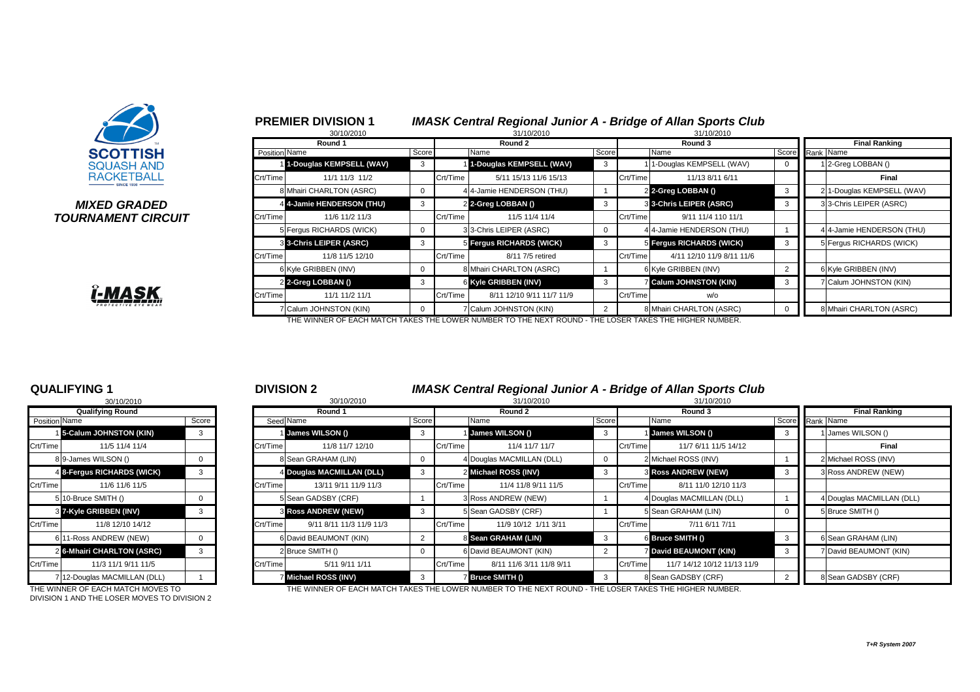

### *MIXED GRADED* **TOURNAMENT CIRCUIT**

<u> ĭ-MASK</u>

# <sup>1</sup> **PREMIER DIVISION 1** *IMASK Central Regional Junior A - Bridge of Allan Sports Club*

|               | 30/10/2010                  |       |          | 31/10/2010                |                |          | 31/10/2010                  |                |                                                                                                                                                     |                           |  |  |  |  |  |
|---------------|-----------------------------|-------|----------|---------------------------|----------------|----------|-----------------------------|----------------|-----------------------------------------------------------------------------------------------------------------------------------------------------|---------------------------|--|--|--|--|--|
|               | Round 1                     |       |          | Round 2                   |                |          | Round 3                     |                | <b>Final Ranking</b><br>Score Rank Name<br>1 2-Greg LOBBAN ()<br>0<br><b>Final</b><br>21-Douglas KEMPSELL (WAV)<br>3<br>33-Chris LEIPER (ASRC)<br>3 |                           |  |  |  |  |  |
| Position Name |                             | Score | Name     |                           | Score          |          | Name                        |                |                                                                                                                                                     |                           |  |  |  |  |  |
|               | 1-Douglas KEMPSELL (WAV)    | 3     |          | 1-Douglas KEMPSELL (WAV)  | 3              |          | 1-Douglas KEMPSELL (WAV)    |                |                                                                                                                                                     |                           |  |  |  |  |  |
| Crt/Time      | 11/1 11/3 11/2              |       | Crt/Time | 5/11 15/13 11/6 15/13     |                | Crt/Time | 11/13 8/11 6/11             |                |                                                                                                                                                     |                           |  |  |  |  |  |
|               | 8 Mhairi CHARLTON (ASRC)    | 0     |          | 4 4-Jamie HENDERSON (THU) |                |          | 2 2-Greg LOBBAN ()          |                |                                                                                                                                                     |                           |  |  |  |  |  |
|               | 4 4-Jamie HENDERSON (THU)   | 3     |          | 2 2-Greg LOBBAN ()        | 3              |          | 3 3-Chris LEIPER (ASRC)     |                |                                                                                                                                                     |                           |  |  |  |  |  |
| Crt/Time      | 11/6 11/2 11/3              |       | Crt/Time | 11/5 11/4 11/4            |                | Crt/Time | 9/11 11/4 110 11/1          |                |                                                                                                                                                     |                           |  |  |  |  |  |
|               | 5 Fergus RICHARDS (WICK)    | 0     |          | 33-Chris LEIPER (ASRC)    | 0              |          | 4 4-Jamie HENDERSON (THU)   |                |                                                                                                                                                     | 4 4-Jamie HENDERSON (THU) |  |  |  |  |  |
|               | 3 3-Chris LEIPER (ASRC)     | 3     |          | 5 Fergus RICHARDS (WICK)  | 3              |          | 5 Fergus RICHARDS (WICK)    | 3              |                                                                                                                                                     | 5 Fergus RICHARDS (WICK)  |  |  |  |  |  |
| Crt/Time      | 11/8 11/5 12/10             |       | Crt/Time | 8/11 7/5 retired          |                | Crt/Time | 4/11 12/10 11/9 8/11 11/6   |                |                                                                                                                                                     |                           |  |  |  |  |  |
|               | 6 Kyle GRIBBEN (INV)        | 0     |          | 8 Mhairi CHARLTON (ASRC)  |                |          | 6 Kyle GRIBBEN (INV)        | $\overline{2}$ |                                                                                                                                                     | 6 Kyle GRIBBEN (INV)      |  |  |  |  |  |
|               | 2 2-Greg LOBBAN ()          | 3     |          | 6 Kyle GRIBBEN (INV)      | 3              |          | <b>Calum JOHNSTON (KIN)</b> | 3              |                                                                                                                                                     | 7 Calum JOHNSTON (KIN)    |  |  |  |  |  |
| Crt/Time      | 11/1 11/2 11/1              |       | Crt/Time | 8/11 12/10 9/11 11/7 11/9 |                | Crt/Time | w/o                         |                |                                                                                                                                                     |                           |  |  |  |  |  |
|               | 7 Calum JOHNSTON (KIN)<br>0 |       |          | 7 Calum JOHNSTON (KIN)    | $\overline{2}$ |          | 8 Mhairi CHARLTON (ASRC)    | 0              |                                                                                                                                                     | 8 Mhairi CHARLTON (ASRC)  |  |  |  |  |  |

THE WINNER OF EACH MATCH TAKES THE LOWER NUMBER TO THE NEXT ROUND - THE LOSER TAKES THE HIGHER NUMBER.

| 30/10/2010              |                                 |       |  |  |  |  |  |  |  |  |
|-------------------------|---------------------------------|-------|--|--|--|--|--|--|--|--|
| <b>Qualifying Round</b> |                                 |       |  |  |  |  |  |  |  |  |
| Position Name           |                                 | Score |  |  |  |  |  |  |  |  |
|                         | 15-Calum JOHNSTON (KIN)         | 3     |  |  |  |  |  |  |  |  |
| Crt/Time                | 11/5 11/4 11/4                  |       |  |  |  |  |  |  |  |  |
|                         | 89-James WILSON ()              | 0     |  |  |  |  |  |  |  |  |
|                         | 4 8-Fergus RICHARDS (WICK)      | 3     |  |  |  |  |  |  |  |  |
| Crt/Time                | 11/6 11/6 11/5                  |       |  |  |  |  |  |  |  |  |
| 51                      | 10-Bruce SMITH ()               | 0     |  |  |  |  |  |  |  |  |
| 31                      | 7-Kyle GRIBBEN (INV)            | 3     |  |  |  |  |  |  |  |  |
| Crt/Time                | 11/8 12/10 14/12                |       |  |  |  |  |  |  |  |  |
| 6                       | 11-Ross ANDREW (NEW)            | 0     |  |  |  |  |  |  |  |  |
| $\overline{2}$          | <b>6-Mhairi CHARLTON (ASRC)</b> | 3     |  |  |  |  |  |  |  |  |
| Crt/Time                | 11/3 11/1 9/11 11/5             |       |  |  |  |  |  |  |  |  |
| $\overline{7}$          | 12-Douglas MACMILLAN (DLL)      |       |  |  |  |  |  |  |  |  |

# **QUALIFYING 1** <sup>1</sup> <sup>2</sup> **DIVISION 2** *IMASK Central Regional Junior A - Bridge of Allan Sports Club*

|                      | 30/10/2010                   |       |          | 30/10/2010                  |              | 31/10/2010 |                           |       |          | 31/10/2010                    |                      |  |                           |
|----------------------|------------------------------|-------|----------|-----------------------------|--------------|------------|---------------------------|-------|----------|-------------------------------|----------------------|--|---------------------------|
|                      | <b>Qualifying Round</b>      |       |          | <b>Round 1</b>              | Round 2      |            |                           |       | Round 3  |                               | <b>Final Ranking</b> |  |                           |
| <b>Position</b> Name |                              | Score |          | Seed Name                   | Score        |            | Name                      | Score |          | Name                          | Score Rank Name      |  |                           |
|                      | 1 5-Calum JOHNSTON (KIN)     | 3     |          | 1 James WILSON ()           | $\mathbf{3}$ |            | <b>James WILSON ()</b>    | -3    |          | 1 James WILSON ()             |                      |  | James WILSON ()           |
| Crt/Time             | 11/5 11/4 11/4               |       | Crt/Time | 11/8 11/7 12/10             |              | Crt/Time   | 11/4 11/7 11/7            |       | Crt/Time | 11/7 6/11 11/5 14/12          |                      |  | <b>Final</b>              |
|                      | 89-James WILSON ()           |       |          | 8 Sean GRAHAM (LIN)         |              |            | 4 Douglas MACMILLAN (DLL) |       |          | 2 Michael ROSS (INV)          |                      |  | 2 Michael ROSS (INV)      |
|                      | 4 8-Fergus RICHARDS (WICK)   |       |          | 4 Douglas MACMILLAN (DLL)   |              |            | 2 Michael ROSS (INV)      | -3    |          | <b>3 Ross ANDREW (NEW)</b>    |                      |  | <b>BRoss ANDREW (NEW)</b> |
| Crt/Time             | 11/6 11/6 11/5               |       | Crt/Time | 13/11 9/11 11/9 11/3        |              | Crt/Time   | 11/4 11/8 9/11 11/5       |       | Crt/Time | 8/11 11/0 12/10 11/3          |                      |  |                           |
|                      | 5 10-Bruce SMITH ()          |       |          | 5 Sean GADSBY (CRF)         |              |            | 3 Ross ANDREW (NEW)       |       |          | 4 Douglas MACMILLAN (DLL)     |                      |  | 1 Douglas MACMILLAN (DLL) |
|                      | 3 7-Kyle GRIBBEN (INV)       |       |          | <b>3 Ross ANDREW (NEW)</b>  |              |            | 5 Sean GADSBY (CRF)       |       |          | 5 Sean GRAHAM (LIN)           |                      |  | 5Bruce SMITH ()           |
| Crt/Time             | 11/8 12/10 14/12             |       | Crt/Time | 9/11 8/11 11/3 11/9 11/3    |              | Crt/Time   | 11/9 10/12 1/11 3/11      |       | Crt/Time | 7/11 6/11 7/11                |                      |  |                           |
|                      | 611-Ross ANDREW (NEW)        |       |          | 6 David BEAUMONT (KIN)      |              |            | 8 Sean GRAHAM (LIN)       | -3    |          | 6 Bruce SMITH ()              |                      |  | 6 Sean GRAHAM (LIN)       |
|                      | 2 6-Mhairi CHARLTON (ASRC)   |       |          | 2 Bruce SMITH ()            |              |            | 6 David BEAUMONT (KIN)    |       |          | <b>7 David BEAUMONT (KIN)</b> |                      |  | VOavid BEAUMONT (KIN)     |
| Crt/Time             | 11/3 11/1 9/11 11/5          |       | Crt/Time | 5/11 9/11 1/11              |              | Crt/Time   | 8/11 11/6 3/11 11/8 9/11  |       | Crt/Time | 11/7 14/12 10/12 11/13 11/9   |                      |  |                           |
|                      | 7 12-Douglas MACMILLAN (DLL) |       |          | <b>7 Michael ROSS (INV)</b> |              |            | 7 Bruce SMITH ()          | -3    |          | 8 Sean GADSBY (CRF)           |                      |  | 8 Sean GADSBY (CRF)       |

THE WINNER OF EACH MATCH MOVES TO THE WINNER OF EACH MATCH TAKES THE LOWER NUMBER TO THE NEXT ROUND - THE LOSER TAKES THE HIGHER NUMBER.

DIVISION 1 AND THE LOSER MOVES TO DIVISION 2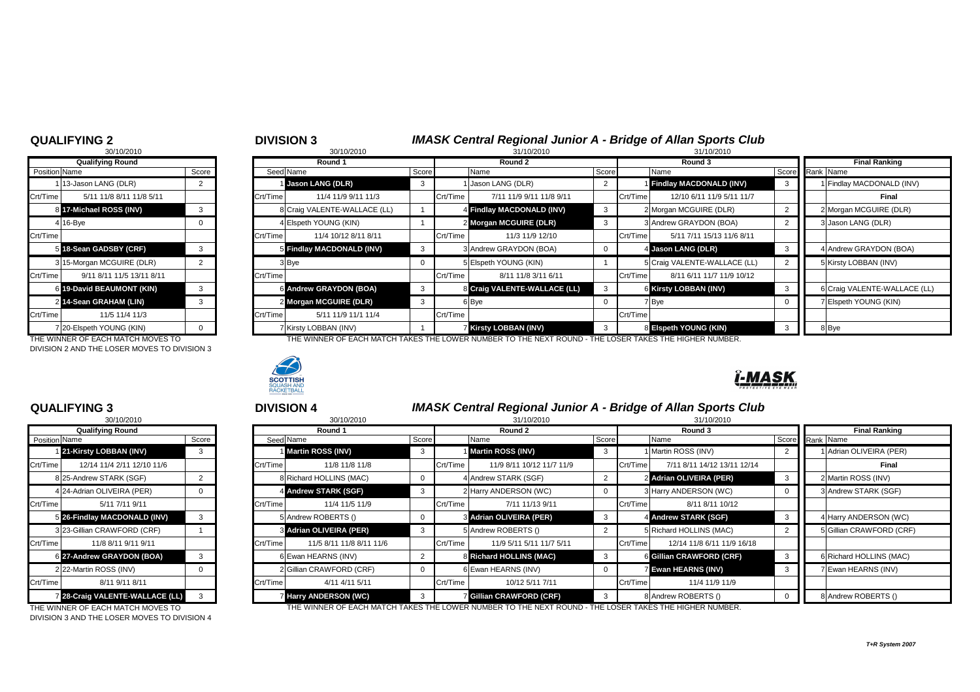# **QUALIFYING 2** <sup>2</sup> <sup>3</sup> **DIVISION 3** *IMASK Central Regional Junior A - Bridge of Allan Sports Club*

|                               | 30/10/2010                |          | 30/10/2010                    |       | 31/10/2010 |                                                                                                        |              |          | 31/10/2010                     |                      |  |                              |
|-------------------------------|---------------------------|----------|-------------------------------|-------|------------|--------------------------------------------------------------------------------------------------------|--------------|----------|--------------------------------|----------------------|--|------------------------------|
|                               | <b>Qualifying Round</b>   |          | Round 1                       |       | Round 2    |                                                                                                        |              | Round 3  |                                | <b>Final Ranking</b> |  |                              |
| <b>Position</b> Name<br>Score |                           |          | Seed Name                     | Score |            | Name                                                                                                   | Score        |          | Name                           | Score Rank Name      |  |                              |
|                               | 113-Jason LANG (DLR)      |          | 1 Jason LANG (DLR)            | 3     |            | 1 Jason LANG (DLR)                                                                                     |              |          | <b>Findlay MACDONALD (INV)</b> |                      |  | 1 Findlay MACDONALD (INV)    |
| $Crt/T$ ime                   | 5/11 11/8 8/11 11/8 5/11  | Crt/Time | 11/4 11/9 9/11 11/3           |       | Crt/Time   | 7/11 11/9 9/11 11/8 9/11                                                                               |              | Crt/Time | 12/10 6/11 11/9 5/11 11/7      |                      |  | <b>Final</b>                 |
|                               | 8 17-Michael ROSS (INV)   |          | 8 Craig VALENTE-WALLACE (LL)  |       |            | 4 Findlay MACDONALD (INV)                                                                              | $\mathbf{3}$ |          | 2 Morgan MCGUIRE (DLR)         |                      |  | 2 Morgan MCGUIRE (DLR)       |
|                               | $4$ 16-Bye                |          | 4 Elspeth YOUNG (KIN)         |       |            | 2 Morgan MCGUIRE (DLR)                                                                                 | 3            |          | 3 Andrew GRAYDON (BOA)         |                      |  | 3 Jason LANG (DLR)           |
| $Crt/T$ ime                   |                           | Crt/Time | 11/4 10/12 8/11 8/11          |       | Crt/Time   | 11/3 11/9 12/10                                                                                        |              | Crt/Time | 5/11 7/11 15/13 11/6 8/11      |                      |  |                              |
|                               | 5 18-Sean GADSBY (CRF)    |          | 5 Findlay MACDONALD (INV)     |       |            | 3 Andrew GRAYDON (BOA)                                                                                 | 0            |          | 4 Jason LANG (DLR)             | - 3                  |  | 4 Andrew GRAYDON (BOA)       |
|                               | 3 15-Morgan MCGUIRE (DLR) |          | 3Bye                          |       |            | 5 Elspeth YOUNG (KIN)                                                                                  |              |          | 5 Craig VALENTE-WALLACE (LL)   | 2                    |  | 5 Kirsty LOBBAN (INV)        |
| $Crt/T$ ime                   | 9/11 8/11 11/5 13/11 8/11 | Crt/Time |                               |       | Crt/Time   | 8/11 11/8 3/11 6/11                                                                                    |              | Crt/Time | 8/11 6/11 11/7 11/9 10/12      |                      |  |                              |
|                               | 6 19-David BEAUMONT (KIN) |          | <b>6 Andrew GRAYDON (BOA)</b> |       |            | 8 Craig VALENTE-WALLACE (LL)                                                                           | 3            |          | <b>6 Kirsty LOBBAN (INV)</b>   |                      |  | 6 Craig VALENTE-WALLACE (LL) |
|                               | 2 14-Sean GRAHAM (LIN)    |          | 2 Morgan MCGUIRE (DLR)        |       |            | 6 Bye                                                                                                  | 0            |          | 7 Bye                          |                      |  | 7 Elspeth YOUNG (KIN)        |
| $Crt/T$ ime                   | 11/5 11/4 11/3            | Crt/Time | 5/11 11/9 11/1 11/4           |       | Crt/Time   |                                                                                                        |              | Crt/Time |                                |                      |  |                              |
|                               | 7 20-Elspeth YOUNG (KIN)  |          | 7 Kirsty LOBBAN (INV)         |       |            | <b>7 Kirsty LOBBAN (INV)</b>                                                                           | 3            |          | 8 Elspeth YOUNG (KIN)          |                      |  | 8 Bye                        |
|                               |                           |          |                               |       |            | THE WILLIED OF EACH MATOLITAICE THE LOWED NUMBER TO THE NEVER OUND. THE LOOFD TAKES THE HIGHED NUMBER. |              |          |                                |                      |  |                              |

THE WINNER OF EACH MATCH MOVES TO THE THE WINNER OF EACH MATCH TAKES THE LOWER NUMBER TO THE NEXT ROUND - THE LOSER TAKES THE HIGHER NUMBER.



|                         | 30/10/2010                     |       |  |  |  |  |  |  |  |
|-------------------------|--------------------------------|-------|--|--|--|--|--|--|--|
| <b>Qualifying Round</b> |                                |       |  |  |  |  |  |  |  |
| Position Name           |                                | Score |  |  |  |  |  |  |  |
| 1.                      | 13-Jason LANG (DLR)            | 2     |  |  |  |  |  |  |  |
| Crt/Time                | 5/11 11/8 8/11 11/8 5/11       |       |  |  |  |  |  |  |  |
| 8                       | 17-Michael ROSS (INV)          | 3     |  |  |  |  |  |  |  |
| 4                       | 16-Bye                         | 0     |  |  |  |  |  |  |  |
| Crt/Time                |                                |       |  |  |  |  |  |  |  |
| 5                       | 18-Sean GADSBY (CRF)           | 3     |  |  |  |  |  |  |  |
| 3                       | 15-Morgan MCGUIRE (DLR)        | 2     |  |  |  |  |  |  |  |
| Crt/Time                | 9/11 8/11 11/5 13/11 8/11      |       |  |  |  |  |  |  |  |
| 6                       | <b>19-David BEAUMONT (KIN)</b> | 3     |  |  |  |  |  |  |  |
| $\overline{2}$          | 14-Sean GRAHAM (LIN)           | 3     |  |  |  |  |  |  |  |
| Crt/Time                | 11/5 11/4 11/3                 |       |  |  |  |  |  |  |  |
| 71                      | 20-Elspeth YOUNG (KIN)         | ი     |  |  |  |  |  |  |  |

DIVISION 2 AND THE LOSER MOVES TO DIVISION 3

|               | 30/10/2010                             |       |  |  |  |  |  |  |  |  |  |
|---------------|----------------------------------------|-------|--|--|--|--|--|--|--|--|--|
|               | <b>Qualifying Round</b>                |       |  |  |  |  |  |  |  |  |  |
| Position Name |                                        | Score |  |  |  |  |  |  |  |  |  |
|               | 1 21-Kirsty LOBBAN (INV)               | 3     |  |  |  |  |  |  |  |  |  |
| Crt/Time      | 12/14 11/4 2/11 12/10 11/6             |       |  |  |  |  |  |  |  |  |  |
|               | 8 25-Andrew STARK (SGF)                | 2     |  |  |  |  |  |  |  |  |  |
|               | 4 24-Adrian OLIVEIRA (PER)             | O     |  |  |  |  |  |  |  |  |  |
| Crt/Time      | 5/11 7/11 9/11                         |       |  |  |  |  |  |  |  |  |  |
|               | 5 26-Findlay MACDONALD (INV)           | 3     |  |  |  |  |  |  |  |  |  |
|               | 3 23-Gillian CRAWFORD (CRF)            | 1     |  |  |  |  |  |  |  |  |  |
| Crt/Time      | 11/8 8/11 9/11 9/11                    |       |  |  |  |  |  |  |  |  |  |
|               | 6 27-Andrew GRAYDON (BOA)              | 3     |  |  |  |  |  |  |  |  |  |
|               | 22-Martin ROSS (INV)                   | ი     |  |  |  |  |  |  |  |  |  |
| Crt/Time      | 8/11 9/11 8/11                         |       |  |  |  |  |  |  |  |  |  |
|               | <b>7 28-Craig VALENTE-WALLACE (LL)</b> | 3     |  |  |  |  |  |  |  |  |  |

# **QUALIFYING 3** <sup>3</sup> <sup>4</sup> **DIVISION 4** *IMASK Central Regional Junior A - Bridge of Allan Sports Club*

|                       | 30/10/2010                      |       |          | 30/10/2010                     |       | 31/10/2010 |                                                                                                          |    |          | 31/10/2010                  |                      |  |                              |
|-----------------------|---------------------------------|-------|----------|--------------------------------|-------|------------|----------------------------------------------------------------------------------------------------------|----|----------|-----------------------------|----------------------|--|------------------------------|
|                       | <b>Qualifying Round</b>         |       |          | Round 1                        |       | Round 2    | Round 3                                                                                                  |    |          |                             | <b>Final Ranking</b> |  |                              |
| <b>Position</b> Name  |                                 | Score |          | Seed Name                      | Score |            | Score<br>Name                                                                                            |    |          | Name                        | Score                |  | Rank Name                    |
|                       | 1 21-Kirsty LOBBAN (INV)        | -3    |          | 1 Martin ROSS (INV)            |       |            | 1 Martin ROSS (INV)                                                                                      | -3 |          | 1 Martin ROSS (INV)         |                      |  | <b>Adrian OLIVEIRA (PER)</b> |
| Crt/Time              | 12/14 11/4 2/11 12/10 11/6      |       | Crt/Time | 11/8 11/8 11/8                 |       | Crt/Time   | 11/9 8/11 10/12 11/7 11/9                                                                                |    | Crt/Time | 7/11 8/11 14/12 13/11 12/14 |                      |  | <b>Final</b>                 |
|                       | 8 25-Andrew STARK (SGF)         |       |          | <b>B</b> Richard HOLLINS (MAC) |       |            | 4 Andrew STARK (SGF)                                                                                     |    |          | 2 Adrian OLIVEIRA (PER)     |                      |  | 2 Martin ROSS (INV)          |
|                       | 424-Adrian OLIVEIRA (PER)       |       |          | 4 Andrew STARK (SGF)           |       |            | 2 Harry ANDERSON (WC)                                                                                    |    |          | 3 Harry ANDERSON (WC)       |                      |  | 3 Andrew STARK (SGF)         |
| Crt/Time              | 5/11 7/11 9/11                  |       | Crt/Time | 11/4 11/5 11/9                 |       | Crt/Time   | 7/11 11/13 9/11                                                                                          |    | Crt/Time | 8/11 8/11 10/12             |                      |  |                              |
|                       | 5 26-Findlay MACDONALD (INV)    | 3     |          | 5 Andrew ROBERTS ()            |       |            | 3 Adrian OLIVEIRA (PER)                                                                                  | -3 |          | 4 Andrew STARK (SGF)        |                      |  | 4 Harry ANDERSON (WC)        |
|                       | 3 23-Gillian CRAWFORD (CRF)     |       |          | 3 Adrian OLIVEIRA (PER)        |       |            | 5 Andrew ROBERTS ()                                                                                      |    |          | 5 Richard HOLLINS (MAC)     |                      |  | 5Gillian CRAWFORD (CRF)      |
| Crt/Time <sup>[</sup> | 11/8 8/11 9/11 9/11             |       | Crt/Time | 11/5 8/11 11/8 8/11 11/6       |       | Crt/Time   | 11/9 5/11 5/11 11/7 5/11                                                                                 |    | Crt/Time | 12/14 11/8 6/11 11/9 16/18  |                      |  |                              |
|                       | 6 27-Andrew GRAYDON (BOA)       |       |          | 6 Ewan HEARNS (INV)            |       |            | 8 Richard HOLLINS (MAC)                                                                                  |    |          | 6 Gillian CRAWFORD (CRF)    |                      |  | 6 Richard HOLLINS (MAC)      |
|                       | 22-Martin ROSS (INV)            |       |          | 2 Gillian CRAWFORD (CRF)       |       |            | 6 Ewan HEARNS (INV)                                                                                      |    |          | <b>7 Ewan HEARNS (INV)</b>  |                      |  | 7 Ewan HEARNS (INV)          |
| Crt/Time              | 8/11 9/11 8/11                  |       | Crt/Time | 4/11 4/11 5/11                 |       | Crt/Time   | 10/12 5/11 7/11                                                                                          |    | Crt/Time | 11/4 11/9 11/9              |                      |  |                              |
|                       | 7 28-Craig VALENTE-WALLACE (LL) |       |          | <b>Harry ANDERSON (WC)</b>     |       |            | <b>Gillian CRAWFORD (CRF)</b>                                                                            |    |          | 8 Andrew ROBERTS ()         |                      |  | 8 Andrew ROBERTS ()          |
|                       |                                 |       |          |                                |       |            | THE WILLER AF ELAILUITAILT (1770 THE LAWER WILLER TA THE UP OF BAINS - THE LAAFR TULES THE UNITER WILLER |    |          |                             |                      |  |                              |

THE WINNER OF EACH MATCH MOVES TO THE THE WINNER OF EACH MATCH TAKES THE LOWER NUMBER TO THE NEXT ROUND - THE LOSER TAKES THE HIGHER NUMBER.

| 31/10/2010 |  |
|------------|--|

# <u>I-MASK</u>

DIVISION 3 AND THE LOSER MOVES TO DIVISION 4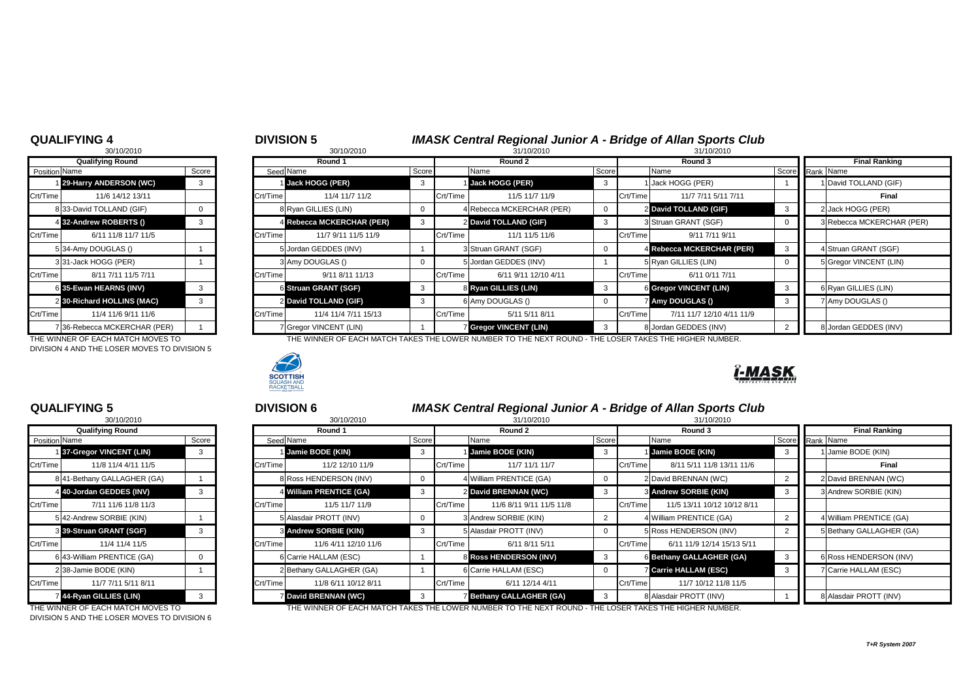### **QUALIFYING 4** <sup>4</sup> <sup>5</sup> **DIVISION 5** *IMASK Central Regional Junior A - Bridge of Allan Sports Club*

| <b>WUALIL LING 4</b> |                             |       | UIVIOIUN J |                           |                      | <b>IMAJN CENTRAL NEGROTAL JUNIOL A - DITUGE OF ANALL SPOLIS CRID</b> |          |                                                                                                      |       |            |                               |  |                      |                           |  |
|----------------------|-----------------------------|-------|------------|---------------------------|----------------------|----------------------------------------------------------------------|----------|------------------------------------------------------------------------------------------------------|-------|------------|-------------------------------|--|----------------------|---------------------------|--|
|                      | 30/10/2010                  |       |            |                           | 30/10/2010           |                                                                      |          | 31/10/2010                                                                                           |       | 31/10/2010 |                               |  |                      |                           |  |
|                      | <b>Qualifying Round</b>     |       |            | Round 1                   |                      |                                                                      | Round 2  |                                                                                                      |       |            | Round 3                       |  | <b>Final Ranking</b> |                           |  |
| Position Name        |                             | Score |            | Seed Name                 |                      | Score                                                                |          | Name                                                                                                 | Score |            | Name                          |  | Score Rank Name      |                           |  |
|                      | 1 29-Harry ANDERSON (WC)    | 3     |            | Jack HOGG (PER)           |                      | -3                                                                   |          | 1 Jack HOGG (PER)                                                                                    |       |            | Jack HOGG (PER)               |  |                      | David TOLLAND (GIF)       |  |
| Crt/Time             | 11/6 14/12 13/11            |       | Crt/Time   |                           | 11/4 11/7 11/2       |                                                                      | Crt/Time | 11/5 11/7 11/9                                                                                       |       | Crt/Time   | 11/7 7/11 5/11 7/11           |  |                      | <b>Final</b>              |  |
|                      | 833-David TOLLAND (GIF)     |       |            | 8 Ryan GILLIES (LIN)      |                      |                                                                      |          | 4 Rebecca MCKERCHAR (PER)                                                                            |       |            | 2 David TOLLAND (GIF)         |  |                      | 2 Jack HOGG (PER)         |  |
|                      | 4 32-Andrew ROBERTS ()      |       |            | 4 Rebecca MCKERCHAR (PER) |                      |                                                                      |          | 2 David TOLLAND (GIF)                                                                                |       |            | 3 Struan GRANT (SGF)          |  |                      | 3 Rebecca MCKERCHAR (PER) |  |
| Crt/Time             | 6/11 11/8 11/7 11/5         |       | Crt/Time   |                           | 11/7 9/11 11/5 11/9  |                                                                      | Crt/Time | 11/1 11/5 11/6                                                                                       |       | Crt/Time   | 9/11 7/11 9/11                |  |                      |                           |  |
|                      | 534-Amy DOUGLAS ()          |       |            | 5 Jordan GEDDES (INV)     |                      |                                                                      |          | 3 Struan GRANT (SGF)                                                                                 |       |            | 4 Rebecca MCKERCHAR (PER)     |  |                      | 4 Struan GRANT (SGF)      |  |
|                      | 331-Jack HOGG (PER)         |       |            | 3 Amy DOUGLAS ()          |                      |                                                                      |          | 5 Jordan GEDDES (INV)                                                                                |       |            | 5 Ryan GILLIES (LIN)          |  |                      | 5 Gregor VINCENT (LIN)    |  |
| Crt/Time             | 8/11 7/11 11/5 7/11         |       | Crt/Time   |                           | 9/11 8/11 11/13      |                                                                      | Crt/Time | 6/11 9/11 12/10 4/11                                                                                 |       | Crt/Time   | 6/11 0/11 7/11                |  |                      |                           |  |
|                      | 6 35-Ewan HEARNS (INV)      | 3     |            | 6 Struan GRANT (SGF)      |                      | $\mathbf{3}$                                                         |          | 8 Ryan GILLIES (LIN)                                                                                 |       |            | <b>6 Gregor VINCENT (LIN)</b> |  |                      | 6 Ryan GILLIES (LIN)      |  |
|                      | 2 30-Richard HOLLINS (MAC)  | 3     |            | 2 David TOLLAND (GIF)     |                      | 3                                                                    |          | 6 Amy DOUGLAS ()                                                                                     |       |            | 7 Amy DOUGLAS ()              |  |                      | 7 Amy DOUGLAS ()          |  |
| Crt/Time             | 11/4 11/6 9/11 11/6         |       | Crt/Time   |                           | 11/4 11/4 7/11 15/13 |                                                                      | Crt/Time | 5/11 5/11 8/11                                                                                       |       | Crt/Time   | 7/11 11/7 12/10 4/11 11/9     |  |                      |                           |  |
|                      | 736-Rebecca MCKERCHAR (PER) |       |            | 7 Gregor VINCENT (LIN)    |                      |                                                                      |          | <b>7 Gregor VINCENT (LIN)</b>                                                                        |       |            | 8 Jordan GEDDES (INV)         |  |                      | 8 Jordan GEDDES (INV)     |  |
|                      |                             |       |            |                           |                      |                                                                      |          | THE BUILDER AF FIAU LUTAUT CLEATHE LAUFR HUIDER TA THE UP CEALLINE. THE LAAFR TULER THE UAUFR HUIDER |       |            |                               |  |                      |                           |  |

THE WINNER OF EACH MATCH MOVES TO THE WINNER OF EACH MATCH TAKES THE LOWER NUMBER TO THE NEXT ROUND - THE LOSER TAKES THE HIGHER NUMBER.



| 30/10/2010              |                             |       |  |  |  |  |  |  |  |
|-------------------------|-----------------------------|-------|--|--|--|--|--|--|--|
| <b>Qualifying Round</b> |                             |       |  |  |  |  |  |  |  |
| Position Name           |                             | Score |  |  |  |  |  |  |  |
|                         | 1 29-Harry ANDERSON (WC)    | З     |  |  |  |  |  |  |  |
| Crt/Time                | 11/6 14/12 13/11            |       |  |  |  |  |  |  |  |
|                         | 8 33-David TOLLAND (GIF)    | 0     |  |  |  |  |  |  |  |
|                         | 4 32-Andrew ROBERTS ()      | 3     |  |  |  |  |  |  |  |
| Crt/Time                | 6/11 11/8 11/7 11/5         |       |  |  |  |  |  |  |  |
|                         | 534-Amy DOUGLAS ()          |       |  |  |  |  |  |  |  |
|                         | 331-Jack HOGG (PER)         | 1     |  |  |  |  |  |  |  |
| Crt/Time                | 8/11 7/11 11/5 7/11         |       |  |  |  |  |  |  |  |
|                         | 6 35-Ewan HEARNS (INV)      | 3     |  |  |  |  |  |  |  |
|                         | 2 30-Richard HOLLINS (MAC)  | 3     |  |  |  |  |  |  |  |
| lCrt/Time               | 11/4 11/6 9/11 11/6         |       |  |  |  |  |  |  |  |
|                         | 736-Rebecca MCKERCHAR (PER) |       |  |  |  |  |  |  |  |

DIVISION 4 AND THE LOSER MOVES TO DIVISION 5

|                         | 30/10/2010                 |       |  |  |  |  |  |  |  |  |
|-------------------------|----------------------------|-------|--|--|--|--|--|--|--|--|
| <b>Qualifying Round</b> |                            |       |  |  |  |  |  |  |  |  |
| Position Name           |                            | Score |  |  |  |  |  |  |  |  |
|                         | 1 37-Gregor VINCENT (LIN)  | 3     |  |  |  |  |  |  |  |  |
| Crt/Time                | 11/8 11/4 4/11 11/5        |       |  |  |  |  |  |  |  |  |
|                         | 841-Bethany GALLAGHER (GA) | 1     |  |  |  |  |  |  |  |  |
| 41                      | 40-Jordan GEDDES (INV)     | 3     |  |  |  |  |  |  |  |  |
| Crt/Time                | 7/11 11/6 11/8 11/3        |       |  |  |  |  |  |  |  |  |
|                         | 542-Andrew SORBIE (KIN)    | 1     |  |  |  |  |  |  |  |  |
| 31                      | 39-Struan GRANT (SGF)      | 3     |  |  |  |  |  |  |  |  |
| Crt/Time                | 11/4 11/4 11/5             |       |  |  |  |  |  |  |  |  |
|                         | 6 43-William PRENTICE (GA) | ი     |  |  |  |  |  |  |  |  |
|                         | 238-Jamie BODE (KIN)       | 1     |  |  |  |  |  |  |  |  |
| Crt/Time                | 11/7 7/11 5/11 8/11        |       |  |  |  |  |  |  |  |  |
| $\overline{7}$          | 44-Ryan GILLIES (LIN)      | 3     |  |  |  |  |  |  |  |  |

# **QUALIFYING 5** <sup>5</sup> <sup>6</sup> **DIVISION 6** *IMASK Central Regional Junior A - Bridge of Allan Sports Club*

|                        | 30/10/2010                 |   |          | 30/10/2010                   | 31/10/2010 |          |                               | 31/10/2010 |          |                                 |                      |                          |  |
|------------------------|----------------------------|---|----------|------------------------------|------------|----------|-------------------------------|------------|----------|---------------------------------|----------------------|--------------------------|--|
|                        | <b>Qualifying Round</b>    |   |          | Round 1                      |            |          | Round 2                       |            |          | Round 3                         | <b>Final Ranking</b> |                          |  |
| Position Name<br>Score |                            |   |          | Seed Name<br>Score           |            | Name     |                               | Score      |          | Name                            |                      | Score Rank Name          |  |
|                        | 137-Gregor VINCENT (LIN)   | 3 |          | Jamie BODE (KIN)             |            |          | Jamie BODE (KIN)              | -3         |          | <b>Jamie BODE (KIN)</b>         |                      | 1 Jamie BODE (KIN)       |  |
| Crt/Time               | 11/8 11/4 4/11 11/5        |   | Crt/Time | 11/2 12/10 11/9              |            | Crt/Time | 11/7 11/1 11/7                |            | Crt/Time | 8/11 5/11 11/8 13/11 11/6       |                      | <b>Final</b>             |  |
|                        | 841-Bethany GALLAGHER (GA) |   |          | 8 Ross HENDERSON (INV)       |            |          | 4 William PRENTICE (GA)       |            |          | 2 David BRENNAN (WC)            |                      | 2 David BRENNAN (WC)     |  |
|                        | 4 40-Jordan GEDDES (INV)   |   |          | 4 William PRENTICE (GA)      |            |          | 2 David BRENNAN (WC)          | 3          |          | <b>3 Andrew SORBIE (KIN)</b>    |                      | 3 Andrew SORBIE (KIN)    |  |
| Crt/Time               | 7/11 11/6 11/8 11/3        |   | Crt/Time | 11/5 11/7 11/9               |            | Crt/Time | 11/6 8/11 9/11 11/5 11/8      |            | Crt/Time | 11/5 13/11 10/12 10/12 8/11     |                      |                          |  |
|                        | 542-Andrew SORBIE (KIN)    |   |          | 5 Alasdair PROTT (INV)       |            |          | 3 Andrew SORBIE (KIN)         |            |          | 4 William PRENTICE (GA)         |                      | 1William PRENTICE (GA)   |  |
|                        | 3 39-Struan GRANT (SGF)    |   |          | <b>3 Andrew SORBIE (KIN)</b> |            |          | 5 Alasdair PROTT (INV)        |            |          | 5 Ross HENDERSON (INV)          |                      | 5 Bethany GALLAGHER (GA) |  |
| Crt/Time               | 11/4 11/4 11/5             |   | Crt/Time | 11/6 4/11 12/10 11/6         |            | Crt/Time | 6/11 8/11 5/11                |            | Crt/Time | 6/11 11/9 12/14 15/13 5/11      |                      |                          |  |
|                        | 6 43-William PRENTICE (GA) |   |          | 6 Carrie HALLAM (ESC)        |            |          | <b>8 Ross HENDERSON (INV)</b> | -3         |          | <b>6 Bethany GALLAGHER (GA)</b> |                      | 6 Ross HENDERSON (INV)   |  |
|                        | 238-Jamie BODE (KIN)       |   |          | 2 Bethany GALLAGHER (GA)     |            |          | 6 Carrie HALLAM (ESC)         |            |          | <b>Z Carrie HALLAM (ESC)</b>    |                      | 7 Carrie HALLAM (ESC)    |  |
| Crt/Time               | 11/7 7/11 5/11 8/11        |   | Crt/Time | 11/8 6/11 10/12 8/11         |            | Crt/Time | 6/11 12/14 4/11               |            | Crt/Time | 11/7 10/12 11/8 11/5            |                      |                          |  |
|                        | 744-Ryan GILLIES (LIN)     |   |          | <b>Z David BRENNAN (WC)</b>  |            |          | <b>Bethany GALLAGHER (GA)</b> |            |          | 8 Alasdair PROTT (INV)          |                      | 8 Alasdair PROTT (INV)   |  |

THE WINNER OF EACH MATCH MOVES TO THE THE WINNER OF EACH MATCH TAKES THE LOWER NUMBER TO THE NEXT ROUND - THE LOSER TAKES THE HIGHER NUMBER.

| <b>Final Ranking</b> |                           |  |  |  |  |  |  |  |  |
|----------------------|---------------------------|--|--|--|--|--|--|--|--|
| Rank                 | Name                      |  |  |  |  |  |  |  |  |
| 1                    | David TOLLAND (GIF)       |  |  |  |  |  |  |  |  |
|                      | Final                     |  |  |  |  |  |  |  |  |
| $\overline{2}$       | Jack HOGG (PER)           |  |  |  |  |  |  |  |  |
|                      | 3 Rebecca MCKERCHAR (PER) |  |  |  |  |  |  |  |  |
|                      |                           |  |  |  |  |  |  |  |  |
|                      | 4 Struan GRANT (SGF)      |  |  |  |  |  |  |  |  |
|                      | 5 Gregor VINCENT (LIN)    |  |  |  |  |  |  |  |  |
|                      |                           |  |  |  |  |  |  |  |  |
|                      | 6 Ryan GILLIES (LIN)      |  |  |  |  |  |  |  |  |
|                      | 7 Amy DOUGLAS ()          |  |  |  |  |  |  |  |  |
|                      |                           |  |  |  |  |  |  |  |  |
| 8                    | Jordan GEDDES (INV)       |  |  |  |  |  |  |  |  |



DIVISION 5 AND THE LOSER MOVES TO DIVISION 6